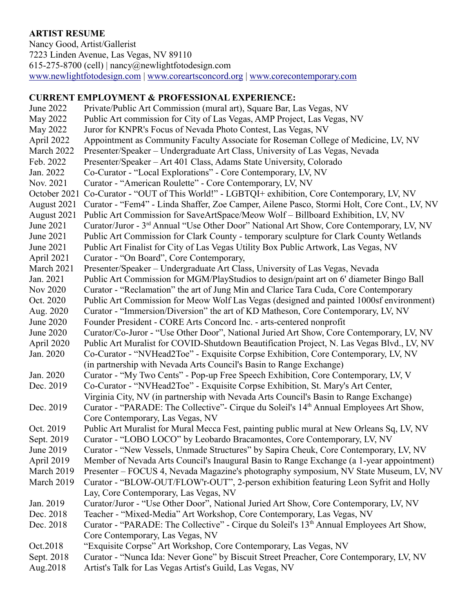## **ARTIST RESUME**

Nancy Good, Artist/Gallerist 7223 Linden Avenue, Las Vegas, NV 89110 615-275-8700 (cell) | nancy@newlightfotodesign.com [www.newlightfotodesign.com](http://www.newlightfotodesign.com/) | [www.coreartsconcord.org](http://www.coreartsconcord.org/) | [www.corecontemporary.com](http://www.corecontemporary.com/)

### **CURRENT EMPLOYMENT & PROFESSIONAL EXPERIENCE:**

June 2022 Private/Public Art Commission (mural art), Square Bar, Las Vegas, NV May 2022 Public Art commission for City of Las Vegas, AMP Project, Las Vegas, NV May 2022 Juror for KNPR's Focus of Nevada Photo Contest, Las Vegas, NV April 2022 Appointment as Community Faculty Associate for Roseman College of Medicine, LV, NV March 2022 Presenter/Speaker – Undergraduate Art Class, University of Las Vegas, Nevada Feb. 2022 Presenter/Speaker – Art 401 Class, Adams State University, Colorado Jan. 2022 Co-Curator - "Local Explorations" - Core Contemporary, LV, NV Nov. 2021 Curator - "American Roulette" - Core Contemporary, LV, NV October 2021 Co-Curator - "OUT of This World!" - LGBTQI+ exhibition, Core Contemporary, LV, NV August 2021 Curator - "Fem4" - Linda Shaffer, Zoe Camper, Ailene Pasco, Stormi Holt, Core Cont., LV, NV August 2021 Public Art Commission for SaveArtSpace/Meow Wolf – Billboard Exhibition, LV, NV June 2021 Curator/Juror - 3<sup>rd</sup> Annual "Use Other Door" National Art Show, Core Contemporary, LV, NV June 2021 Public Art Commission for Clark County - temporary sculpture for Clark County Wetlands June 2021 Public Art Finalist for City of Las Vegas Utility Box Public Artwork, Las Vegas, NV April 2021 Curator - "On Board", Core Contemporary, March 2021 Presenter/Speaker – Undergraduate Art Class, University of Las Vegas, Nevada Jan. 2021 Public Art Commission for MGM/PlayStudios to design/paint art on 6' diameter Bingo Ball Nov 2020 Curator - "Reclamation" the art of Jung Min and Clarice Tara Cuda, Core Contemporary Oct. 2020 Public Art Commission for Meow Wolf Las Vegas (designed and painted 1000sf environment) Aug. 2020 Curator - "Immersion/Diversion" the art of KD Matheson, Core Contemporary, LV, NV June 2020 Founder President - CORE Arts Concord Inc. - arts-centered nonprofit June 2020 Curator/Co-Juror - "Use Other Door", National Juried Art Show, Core Contemporary, LV, NV April 2020 Public Art Muralist for COVID-Shutdown Beautification Project, N. Las Vegas Blvd., LV, NV Jan. 2020 Co-Curator - "NVHead2Toe" - Exquisite Corpse Exhibition, Core Contemporary, LV, NV (in partnership with Nevada Arts Council's Basin to Range Exchange) Jan. 2020 Curator - "My Two Cents" - Pop-up Free Speech Exhibition, Core Contemporary, LV, V Dec. 2019 Co-Curator - "NVHead2Toe" - Exquisite Corpse Exhibition, St. Mary's Art Center, Virginia City, NV (in partnership with Nevada Arts Council's Basin to Range Exchange) Dec. 2019 Curator - "PARADE: The Collective" - Cirque du Soleil's 14<sup>th</sup> Annual Employees Art Show, Core Contemporary, Las Vegas, NV Oct. 2019 Public Art Muralist for Mural Mecca Fest, painting public mural at New Orleans Sq, LV, NV Sept. 2019 Curator - "LOBO LOCO" by Leobardo Bracamontes, Core Contemporary, LV, NV June 2019 Curator - "New Vessels, Unmade Structures" by Sapira Cheuk, Core Contemporary, LV, NV April 2019 Member of Nevada Arts Council's Inaugural Basin to Range Exchange (a 1-year appointment) March 2019 Presenter – FOCUS 4, Nevada Magazine's photography symposium, NV State Museum, LV, NV March 2019 Curator - "BLOW-OUT/FLOW'r-OUT", 2-person exhibition featuring Leon Syfrit and Holly Lay, Core Contemporary, Las Vegas, NV Jan. 2019 Curator/Juror - "Use Other Door", National Juried Art Show, Core Contemporary, LV, NV Dec. 2018 Teacher - "Mixed-Media" Art Workshop, Core Contemporary, Las Vegas, NV Dec. 2018 Curator - "PARADE: The Collective" - Cirque du Soleil's 13<sup>th</sup> Annual Employees Art Show, Core Contemporary, Las Vegas, NV Oct.2018 "Exquisite Corpse" Art Workshop, Core Contemporary, Las Vegas, NV Sept. 2018 Curator - "Nunca Ida: Never Gone" by Biscuit Street Preacher, Core Contemporary, LV, NV

Aug.2018 Artist's Talk for Las Vegas Artist's Guild, Las Vegas, NV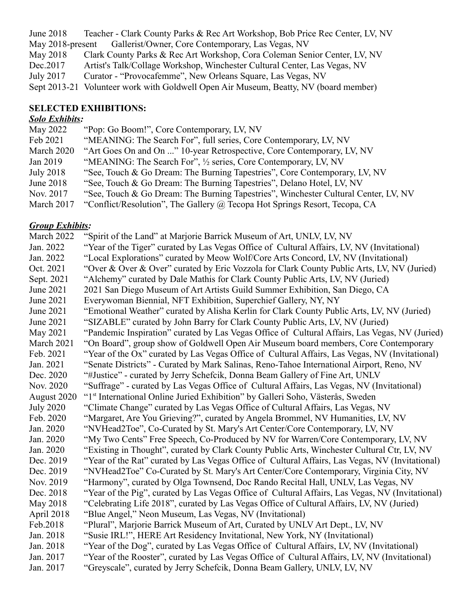June 2018 Teacher - Clark County Parks & Rec Art Workshop, Bob Price Rec Center, LV, NV May 2018-present Gallerist/Owner, Core Contemporary, Las Vegas, NV May 2018 Clark County Parks & Rec Art Workshop, Cora Coleman Senior Center, LV, NV Dec.2017 Artist's Talk/Collage Workshop, Winchester Cultural Center, Las Vegas, NV July 2017 Curator - "Provocafemme", New Orleans Square, Las Vegas, NV Sept 2013-21 Volunteer work with Goldwell Open Air Museum, Beatty, NV (board member)

#### **SELECTED EXHIBITIONS:**

#### *Solo Exhibits:*

| "Pop: Go Boom!", Core Contemporary, LV, NV<br>May 2022 |                                                                                     |
|--------------------------------------------------------|-------------------------------------------------------------------------------------|
| Feb 2021                                               | "MEANING: The Search For", full series, Core Contemporary, LV, NV                   |
| March 2020                                             | "Art Goes On and On " 10-year Retrospective, Core Contemporary, LV, NV              |
| Jan 2019                                               | "MEANING: The Search For", 1/2 series, Core Contemporary, LV, NV                    |
| July 2018                                              | "See, Touch & Go Dream: The Burning Tapestries", Core Contemporary, LV, NV          |
| June 2018                                              | "See, Touch & Go Dream: The Burning Tapestries", Delano Hotel, LV, NV               |
| Nov. 2017                                              | "See, Touch & Go Dream: The Burning Tapestries", Winchester Cultural Center, LV, NV |
| March 2017                                             | "Conflict/Resolution", The Gallery $\omega$ Tecopa Hot Springs Resort, Tecopa, CA   |

## *Group Exhibits:*

March 2022 "Spirit of the Land" at Marjorie Barrick Museum of Art, UNLV, LV, NV Jan. 2022 "Year of the Tiger" curated by Las Vegas Office of Cultural Affairs, LV, NV (Invitational) Jan. 2022 "Local Explorations" curated by Meow Wolf/Core Arts Concord, LV, NV (Invitational) Oct. 2021 "Over & Over & Over" curated by Eric Vozzola for Clark County Public Arts, LV, NV (Juried) Sept. 2021 "Alchemy" curated by Dale Mathis for Clark County Public Arts, LV, NV (Juried) June 2021 2021 San Diego Museum of Art Artists Guild Summer Exhibition, San Diego, CA June 2021 Everywoman Biennial, NFT Exhibition, Superchief Gallery, NY, NY June 2021 "Emotional Weather" curated by Alisha Kerlin for Clark County Public Arts, LV, NV (Juried) June 2021 "SIZABLE" curated by John Barry for Clark County Public Arts, LV, NV (Juried) May 2021 "Pandemic Inspiration" curated by Las Vegas Office of Cultural Affairs, Las Vegas, NV (Juried) March 2021 "On Board", group show of Goldwell Open Air Museum board members, Core Contemporary Feb. 2021 "Year of the Ox" curated by Las Vegas Office of Cultural Affairs, Las Vegas, NV (Invitational) Jan. 2021 "Senate Districts" - Curated by Mark Salinas, Reno-Tahoe International Airport, Reno, NV Dec. 2020 "#Justice" - curated by Jerry Schefcik, Donna Beam Gallery of Fine Art, UNLV Nov. 2020 "Suffrage" - curated by Las Vegas Office of Cultural Affairs, Las Vegas, NV (Invitational) August 2020 "1st International Online Juried Exhibition" by Galleri Soho, Västerås, Sweden July 2020 "Climate Change" curated by Las Vegas Office of Cultural Affairs, Las Vegas, NV Feb. 2020 "Margaret, Are You Grieving?", curated by Angela Brommel, NV Humanities, LV, NV Jan. 2020 "NVHead2Toe", Co-Curated by St. Mary's Art Center/Core Contemporary, LV, NV Jan. 2020 "My Two Cents" Free Speech, Co-Produced by NV for Warren/Core Contemporary, LV, NV Jan. 2020 "Existing in Thought", curated by Clark County Public Arts, Winchester Cultural Ctr, LV, NV Dec. 2019 "Year of the Rat" curated by Las Vegas Office of Cultural Affairs, Las Vegas, NV (Invitational) Dec. 2019 "NVHead2Toe" Co-Curated by St. Mary's Art Center/Core Contemporary, Virginia City, NV Nov. 2019 "Harmony", curated by Olga Townsend, Doc Rando Recital Hall, UNLV, Las Vegas, NV Dec. 2018 "Year of the Pig", curated by Las Vegas Office of Cultural Affairs, Las Vegas, NV (Invitational) May 2018 "Celebrating Life 2018", curated by Las Vegas Office of Cultural Affairs, LV, NV (Juried) April 2018 "Blue Angel," Neon Museum, Las Vegas, NV (Invitational) Feb.2018 "Plural", Marjorie Barrick Museum of Art, Curated by UNLV Art Dept., LV, NV Jan. 2018 "Susie IRL!", HERE Art Residency Invitational, New York, NY (Invitational) Jan. 2018 "Year of the Dog", curated by Las Vegas Office of Cultural Affairs, LV, NV (Invitational) Jan. 2017 "Year of the Rooster", curated by Las Vegas Office of Cultural Affairs, LV, NV (Invitational) Jan. 2017 "Greyscale", curated by Jerry Schefcik, Donna Beam Gallery, UNLV, LV, NV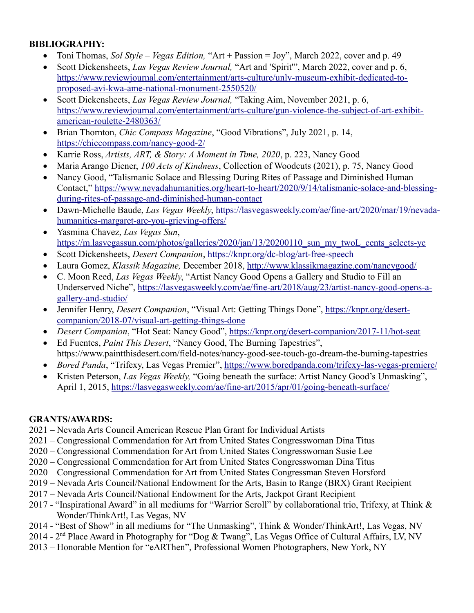#### **BIBLIOGRAPHY:**

- Toni Thomas, *Sol Style Vegas Edition,* "Art + Passion = Joy", March 2022, cover and p. 49
- Scott Dickensheets, *Las Vegas Review Journal,* "Art and 'Spirit'", March 2022, cover and p. 6, [https://www.reviewjournal.com/entertainment/arts-culture/unlv-museum-exhibit-dedicated-to](https://www.reviewjournal.com/entertainment/arts-culture/unlv-museum-exhibit-dedicated-to-proposed-avi-kwa-ame-national-monument-2550520/)[proposed-avi-kwa-ame-national-monument-2550520/](https://www.reviewjournal.com/entertainment/arts-culture/unlv-museum-exhibit-dedicated-to-proposed-avi-kwa-ame-national-monument-2550520/)
- Scott Dickensheets, *Las Vegas Review Journal,* "Taking Aim, November 2021, p. 6, [https://www.reviewjournal.com/entertainment/arts-culture/gun-violence-the-subject-of-art-exhibit](https://www.reviewjournal.com/entertainment/arts-culture/gun-violence-the-subject-of-art-exhibit-american-roulette-2480363/)[american-roulette-2480363/](https://www.reviewjournal.com/entertainment/arts-culture/gun-violence-the-subject-of-art-exhibit-american-roulette-2480363/)
- Brian Thornton, *Chic Compass Magazine*, "Good Vibrations", July 2021, p. 14, [https://chiccompass.com/nancy-good-2/](https://chiccompass.com/nancy-good-2/?fbclid=IwAR3kqX-SmS_12viKkhVCgV_63eElfgwJ9tH2YsoglVv_dr8ehgplSEruGwU)
- Karrie Ross, *Artists, ART, & Story: A Moment in Time, 2020*, p. 223, Nancy Good
- Maria Arango Diener, *100 Acts of Kindness*, Collection of Woodcuts (2021), p. 75, Nancy Good
- Nancy Good, "Talismanic Solace and Blessing During Rites of Passage and Diminished Human Contact," [https://www.nevadahumanities.org/heart-to-heart/2020/9/14/talismanic-solace-and-blessing](https://www.nevadahumanities.org/heart-to-heart/2020/9/14/talismanic-solace-and-blessing-during-rites-of-passage-and-diminished-human-contact)[during-rites-of-passage-and-diminished-human-contact](https://www.nevadahumanities.org/heart-to-heart/2020/9/14/talismanic-solace-and-blessing-during-rites-of-passage-and-diminished-human-contact)
- Dawn-Michelle Baude, *Las Vegas Weekly*, [https://lasvegasweekly.com/ae/fine-art/2020/mar/19/nevada](https://lasvegasweekly.com/ae/fine-art/2020/mar/19/nevada-humanities-margaret-are-you-grieving-offers/)[humanities-margaret-are-you-grieving-offers/](https://lasvegasweekly.com/ae/fine-art/2020/mar/19/nevada-humanities-margaret-are-you-grieving-offers/)
- Yasmina Chavez, *Las Vegas Sun*, [https://m.lasvegassun.com/photos/galleries/2020/jan/13/20200110\\_sun\\_my\\_twoL\\_cents\\_selects-yc](https://m.lasvegassun.com/photos/galleries/2020/jan/13/20200110_sun_my_twoL_cents_selects-yc)
- Scott Dickensheets, *Desert Companion*,<https://knpr.org/dc-blog/art-free-speech>
- Laura Gomez, *Klassik Magazine,* December 2018, <http://www.klassikmagazine.com/nancygood/>
- C. Moon Reed, *Las Vegas Weekly*, "Artist Nancy Good Opens a Gallery and Studio to Fill an Underserved Niche", [https://lasvegasweekly.com/ae/fine-art/2018/aug/23/artist-nancy-good-opens-a](https://lasvegasweekly.com/ae/fine-art/2018/aug/23/artist-nancy-good-opens-a-gallery-and-studio/)[gallery-and-studio/](https://lasvegasweekly.com/ae/fine-art/2018/aug/23/artist-nancy-good-opens-a-gallery-and-studio/)
- Jennifer Henry, *Desert Companion*, "Visual Art: Getting Things Done", [https://knpr.org/desert](https://knpr.org/desert-companion/2018-07/visual-art-getting-things-done)[companion/2018-07/visual-art-getting-things-done](https://knpr.org/desert-companion/2018-07/visual-art-getting-things-done)
- *Desert Companion*, "Hot Seat: Nancy Good",<https://knpr.org/desert-companion/2017-11/hot-seat>
- Ed Fuentes, *Paint This Desert*, "Nancy Good, The Burning Tapestries", https://www.paintthisdesert.com/field-notes/nancy-good-see-touch-go-dream-the-burning-tapestries
- *Bored Panda*, "Trifexy, Las Vegas Premier",<https://www.boredpanda.com/trifexy-las-vegas-premiere/>
- Kristen Peterson, *Las Vegas Weekly,* "Going beneath the surface: Artist Nancy Good's Unmasking", April 1, 2015,<https://lasvegasweekly.com/ae/fine-art/2015/apr/01/going-beneath-surface/>

## **GRANTS/AWARDS:**

- 2021 Nevada Arts Council American Rescue Plan Grant for Individual Artists
- 2021 Congressional Commendation for Art from United States Congresswoman Dina Titus
- 2020 Congressional Commendation for Art from United States Congresswoman Susie Lee
- 2020 Congressional Commendation for Art from United States Congresswoman Dina Titus
- 2020 Congressional Commendation for Art from United States Congressman Steven Horsford
- 2019 Nevada Arts Council/National Endowment for the Arts, Basin to Range (BRX) Grant Recipient
- 2017 Nevada Arts Council/National Endowment for the Arts, Jackpot Grant Recipient
- 2017 "Inspirational Award" in all mediums for "Warrior Scroll" by collaborational trio, Trifexy, at Think & Wonder/ThinkArt!, Las Vegas, NV
- 2014 "Best of Show" in all mediums for "The Unmasking", Think & Wonder/ThinkArt!, Las Vegas, NV
- 2014 2nd Place Award in Photography for "Dog & Twang", Las Vegas Office of Cultural Affairs, LV, NV
- 2013 Honorable Mention for "eARThen", Professional Women Photographers, New York, NY